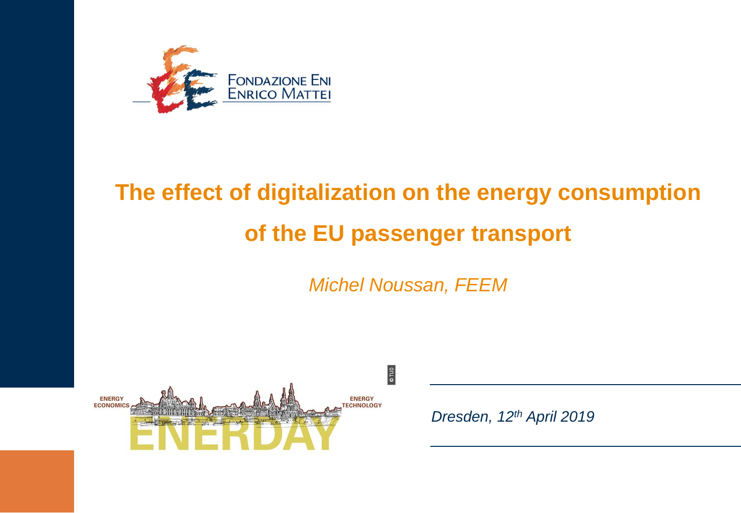

# **The effect of digitalization on the energy consumption of the EU passenger transport**

*Michel Noussan, FEEM*



*Dresden, 12th April 2019*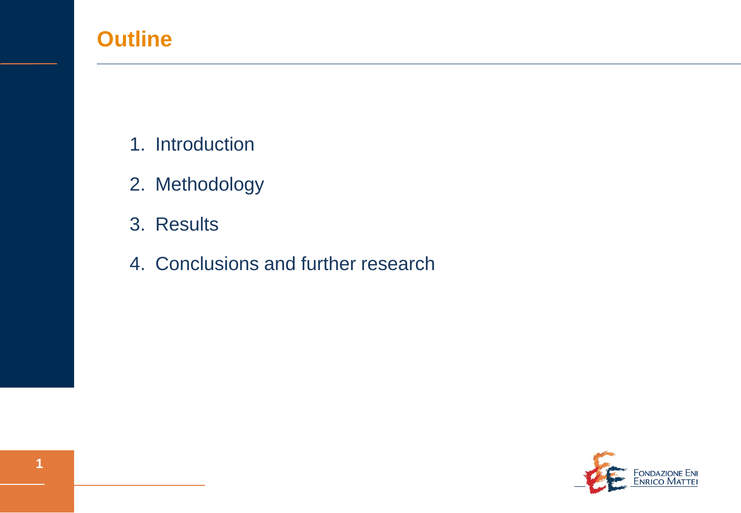### **Outline**

- 1. Introduction
- 2. Methodology
- 3. Results
- 4. Conclusions and further research

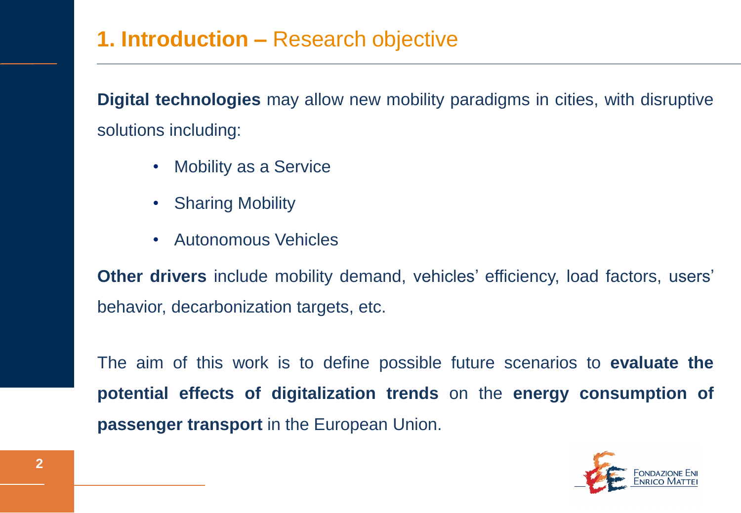#### **1. Introduction –** Research objective

**Digital technologies** may allow new mobility paradigms in cities, with disruptive solutions including:

- Mobility as a Service
- Sharing Mobility
- Autonomous Vehicles

**Other drivers** include mobility demand, vehicles' efficiency, load factors, users' behavior, decarbonization targets, etc.

The aim of this work is to define possible future scenarios to **evaluate the potential effects of digitalization trends** on the **energy consumption of passenger transport** in the European Union.

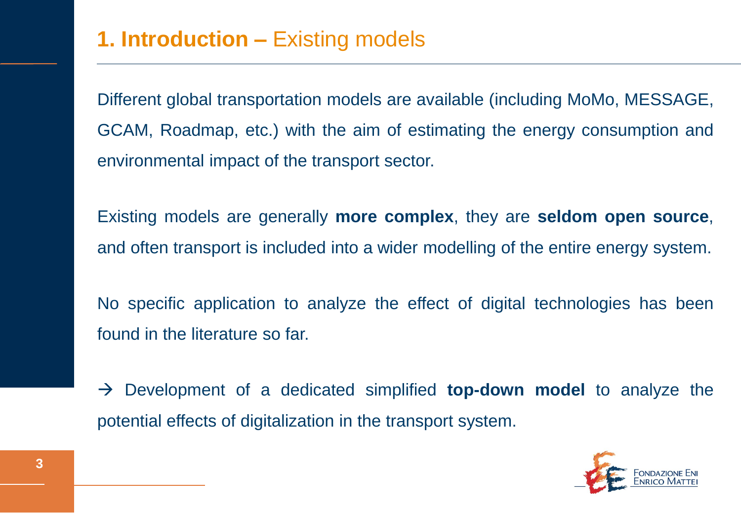Different global transportation models are available (including MoMo, MESSAGE, GCAM, Roadmap, etc.) with the aim of estimating the energy consumption and environmental impact of the transport sector.

Existing models are generally **more complex**, they are **seldom open source**, and often transport is included into a wider modelling of the entire energy system.

No specific application to analyze the effect of digital technologies has been found in the literature so far.

 Development of a dedicated simplified **top-down model** to analyze the potential effects of digitalization in the transport system.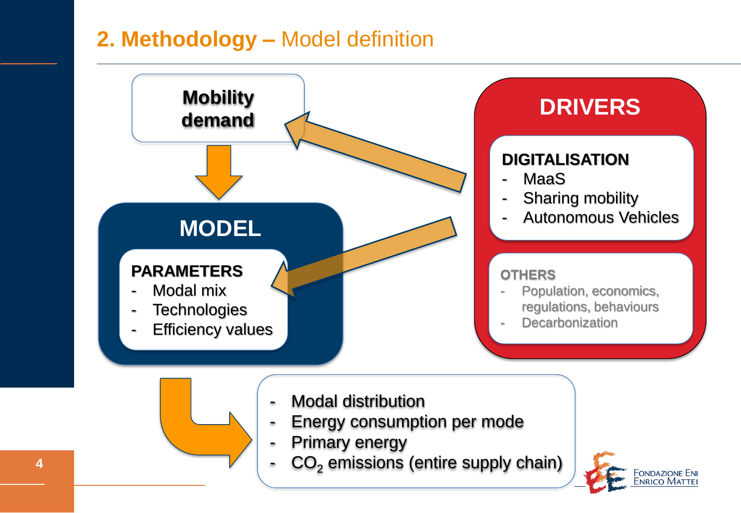#### **2. Methodology –** Model definition

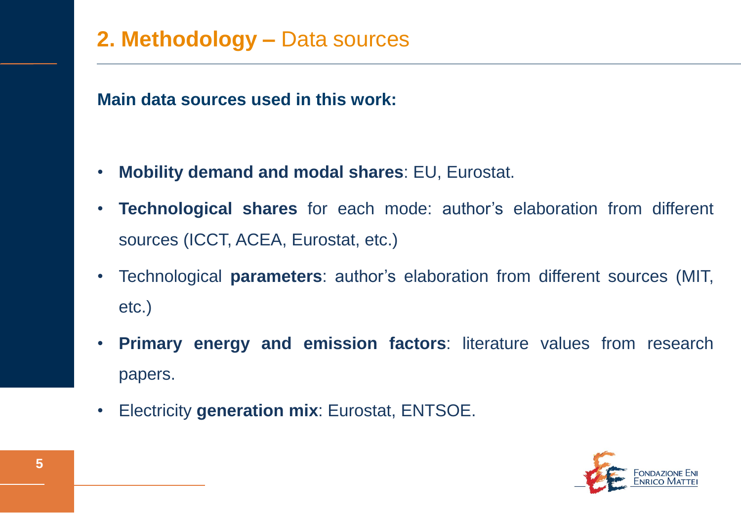#### **2. Methodology –** Data sources

**Main data sources used in this work:**

- **Mobility demand and modal shares**: EU, Eurostat.
- **Technological shares** for each mode: author's elaboration from different sources (ICCT, ACEA, Eurostat, etc.)
- Technological **parameters**: author's elaboration from different sources (MIT, etc.)
- **Primary energy and emission factors**: literature values from research papers.
- Electricity **generation mix**: Eurostat, ENTSOE.

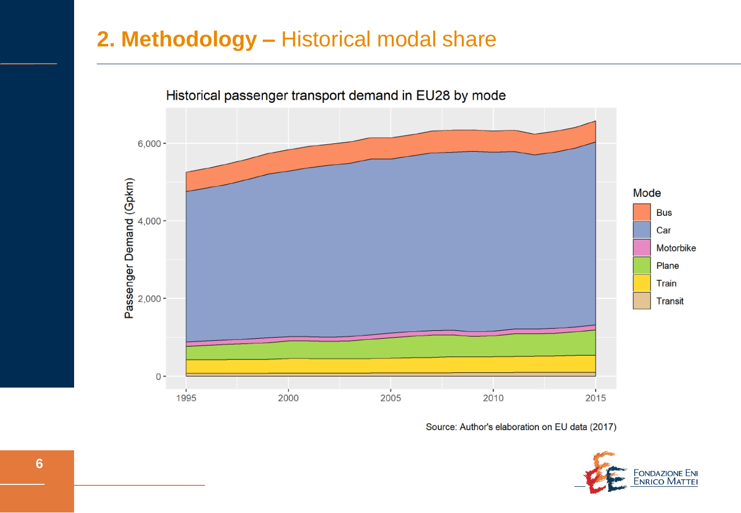#### **2. Methodology –** Historical modal share



Source: Author's elaboration on EU data (2017)

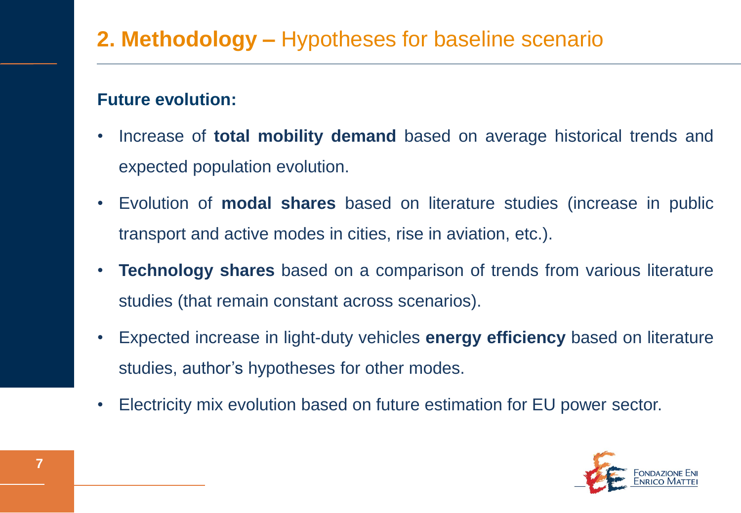#### **2. Methodology –** Hypotheses for baseline scenario

#### **Future evolution:**

- Increase of **total mobility demand** based on average historical trends and expected population evolution.
- Evolution of **modal shares** based on literature studies (increase in public transport and active modes in cities, rise in aviation, etc.).
- **Technology shares** based on a comparison of trends from various literature studies (that remain constant across scenarios).
- Expected increase in light-duty vehicles **energy efficiency** based on literature studies, author's hypotheses for other modes.
- Electricity mix evolution based on future estimation for EU power sector.

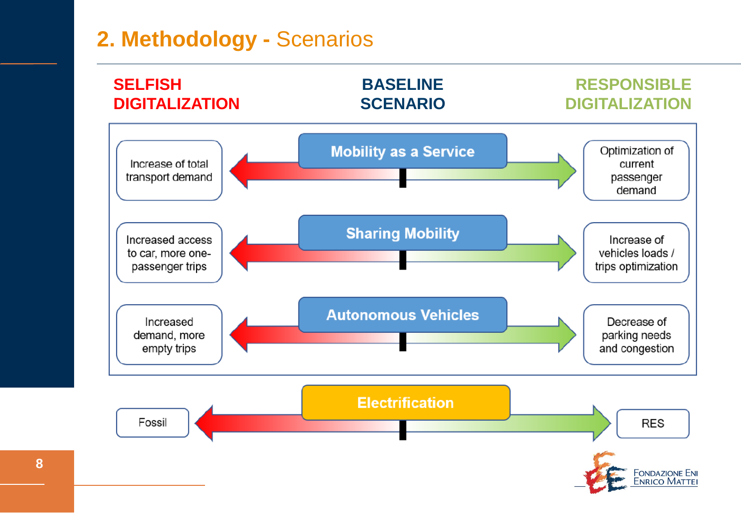#### **2. Methodology -** Scenarios

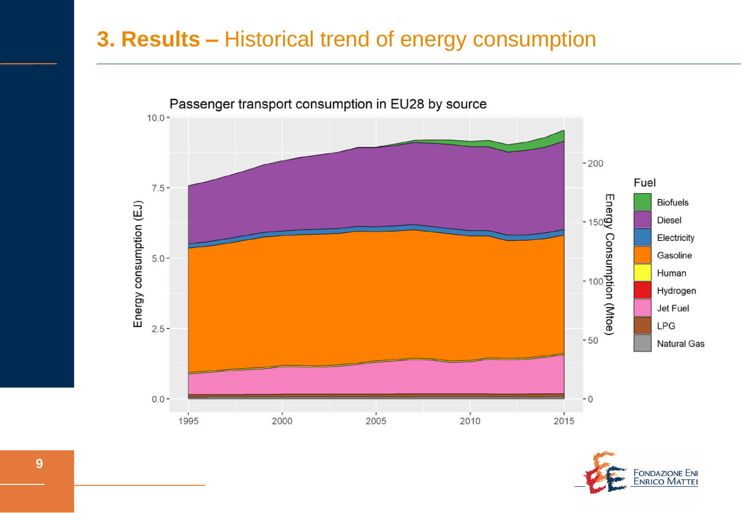#### **3. Results –** Historical trend of energy consumption



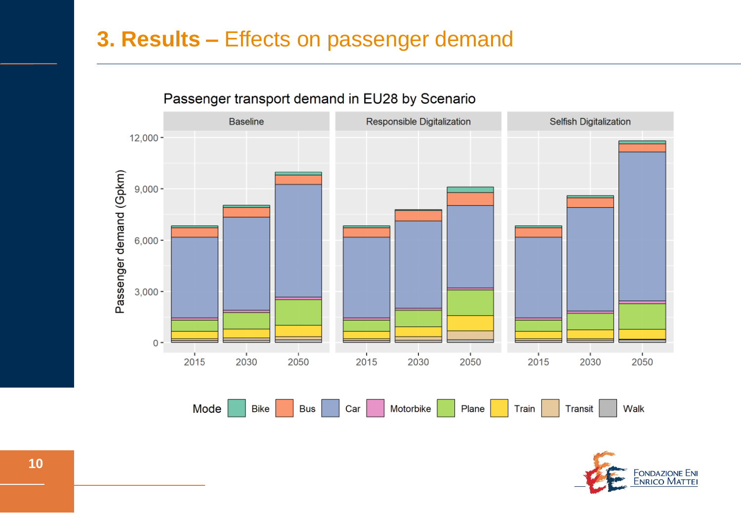#### **3. Results –** Effects on passenger demand



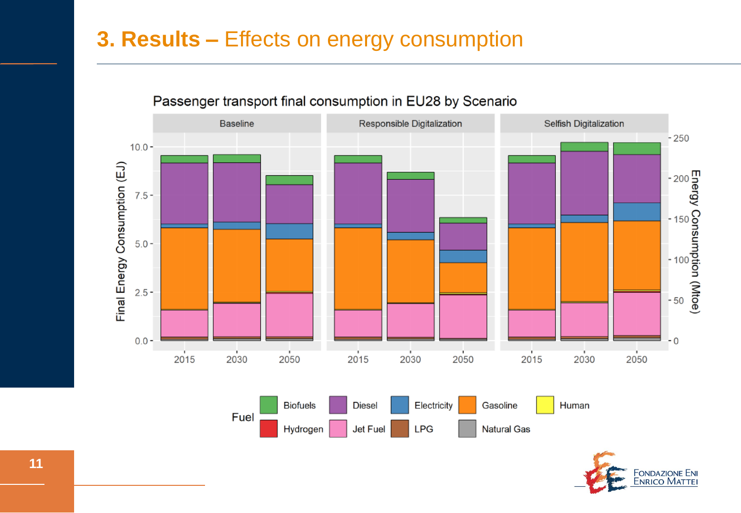#### **3. Results –** Effects on energy consumption



#### Passenger transport final consumption in EU28 by Scenario

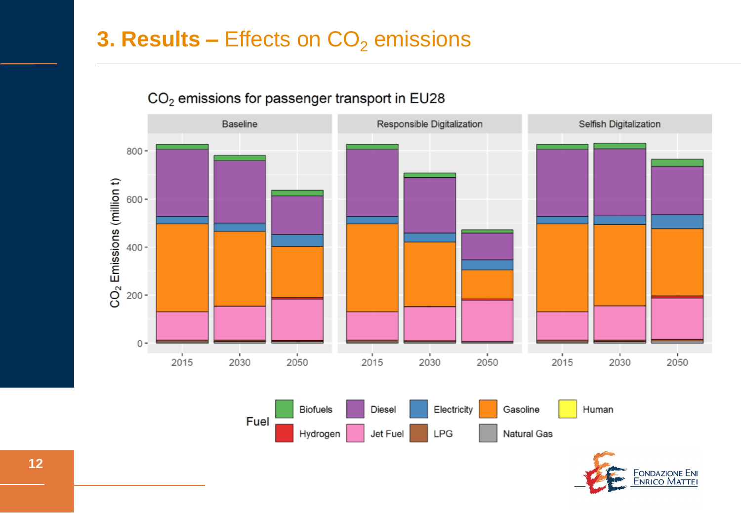#### **3. Results –** Effects on CO<sub>2</sub> emissions



#### CO<sub>2</sub> emissions for passenger transport in EU28

Fondazione En<mark>i</mark><br>Enrico Mattei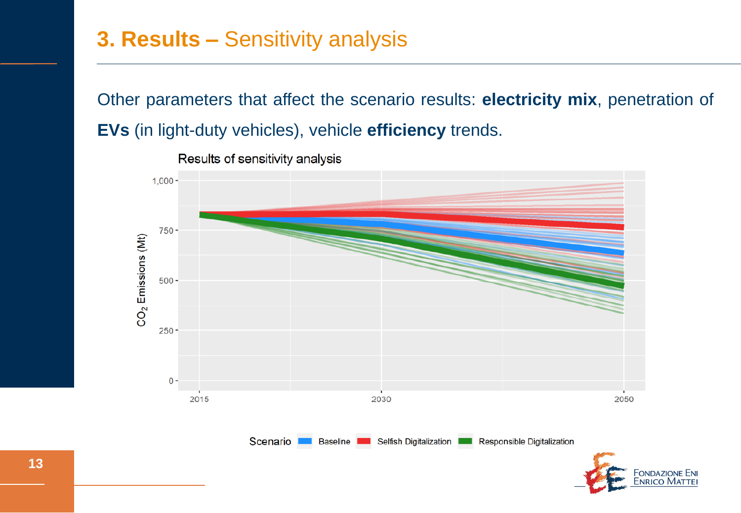#### **3. Results –** Sensitivity analysis

Other parameters that affect the scenario results: **electricity mix**, penetration of **EVs** (in light-duty vehicles), vehicle **efficiency** trends.



Results of sensitivity analysis

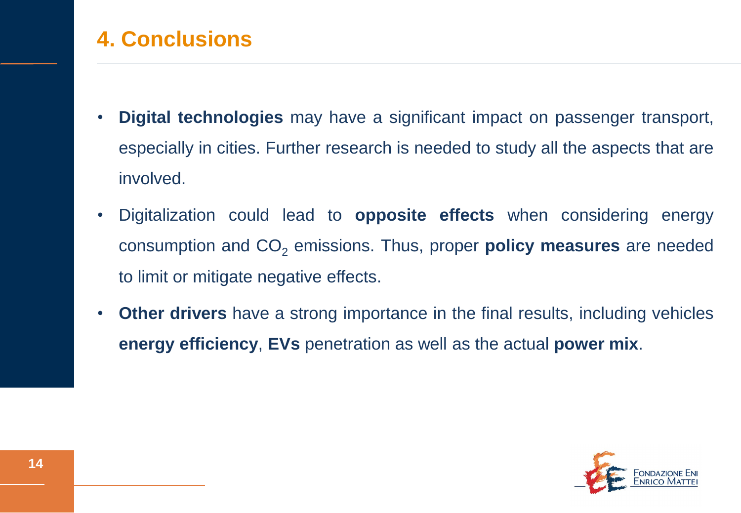## **4. Conclusions**

- **Digital technologies** may have a significant impact on passenger transport, especially in cities. Further research is needed to study all the aspects that are involved.
- Digitalization could lead to **opposite effects** when considering energy consumption and CO<sub>2</sub> emissions. Thus, proper **policy measures** are needed to limit or mitigate negative effects.
- **Other drivers** have a strong importance in the final results, including vehicles **energy efficiency**, **EVs** penetration as well as the actual **power mix**.

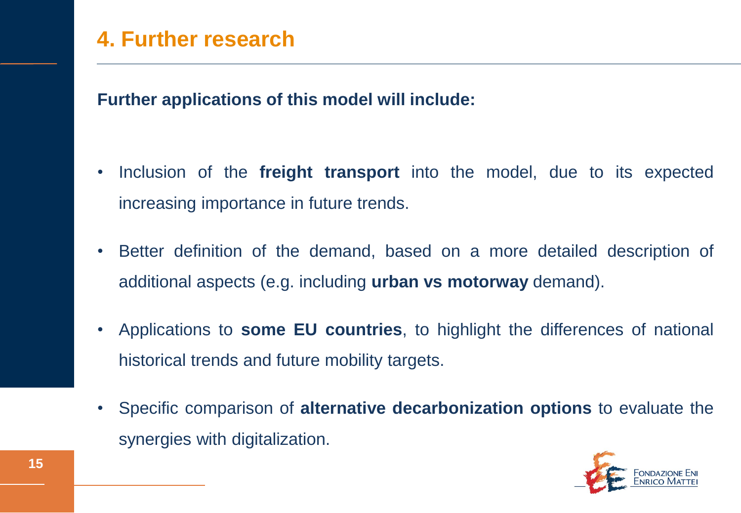#### **4. Further research**

**Further applications of this model will include:**

- Inclusion of the **freight transport** into the model, due to its expected increasing importance in future trends.
- Better definition of the demand, based on a more detailed description of additional aspects (e.g. including **urban vs motorway** demand).
- Applications to **some EU countries**, to highlight the differences of national historical trends and future mobility targets.
- Specific comparison of **alternative decarbonization options** to evaluate the synergies with digitalization.